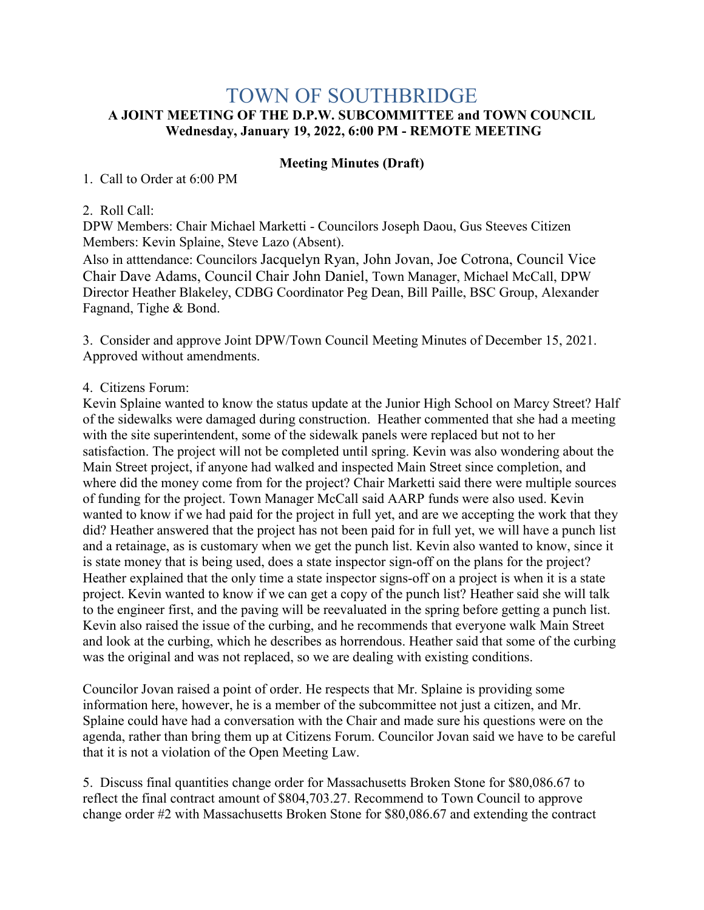## TOWN OF SOUTHBRIDGE **A JOINT MEETING OF THE D.P.W. SUBCOMMITTEE and TOWN COUNCIL Wednesday, January 19, 2022, 6:00 PM - REMOTE MEETING**

## **Meeting Minutes (Draft)**

1. Call to Order at 6:00 PM

## 2. Roll Call:

DPW Members: Chair Michael Marketti - Councilors Joseph Daou, Gus Steeves Citizen Members: Kevin Splaine, Steve Lazo (Absent).

Also in atttendance: Councilors Jacquelyn Ryan, John Jovan, Joe Cotrona, Council Vice Chair Dave Adams, Council Chair John Daniel, Town Manager, Michael McCall, DPW Director Heather Blakeley, CDBG Coordinator Peg Dean, Bill Paille, BSC Group, Alexander Fagnand, Tighe & Bond.

3. Consider and approve Joint DPW/Town Council Meeting Minutes of December 15, 2021. Approved without amendments.

## 4. Citizens Forum:

Kevin Splaine wanted to know the status update at the Junior High School on Marcy Street? Half of the sidewalks were damaged during construction. Heather commented that she had a meeting with the site superintendent, some of the sidewalk panels were replaced but not to her satisfaction. The project will not be completed until spring. Kevin was also wondering about the Main Street project, if anyone had walked and inspected Main Street since completion, and where did the money come from for the project? Chair Marketti said there were multiple sources of funding for the project. Town Manager McCall said AARP funds were also used. Kevin wanted to know if we had paid for the project in full yet, and are we accepting the work that they did? Heather answered that the project has not been paid for in full yet, we will have a punch list and a retainage, as is customary when we get the punch list. Kevin also wanted to know, since it is state money that is being used, does a state inspector sign-off on the plans for the project? Heather explained that the only time a state inspector signs-off on a project is when it is a state project. Kevin wanted to know if we can get a copy of the punch list? Heather said she will talk to the engineer first, and the paving will be reevaluated in the spring before getting a punch list. Kevin also raised the issue of the curbing, and he recommends that everyone walk Main Street and look at the curbing, which he describes as horrendous. Heather said that some of the curbing was the original and was not replaced, so we are dealing with existing conditions.

Councilor Jovan raised a point of order. He respects that Mr. Splaine is providing some information here, however, he is a member of the subcommittee not just a citizen, and Mr. Splaine could have had a conversation with the Chair and made sure his questions were on the agenda, rather than bring them up at Citizens Forum. Councilor Jovan said we have to be careful that it is not a violation of the Open Meeting Law.

5. Discuss final quantities change order for Massachusetts Broken Stone for \$80,086.67 to reflect the final contract amount of \$804,703.27. Recommend to Town Council to approve change order #2 with Massachusetts Broken Stone for \$80,086.67 and extending the contract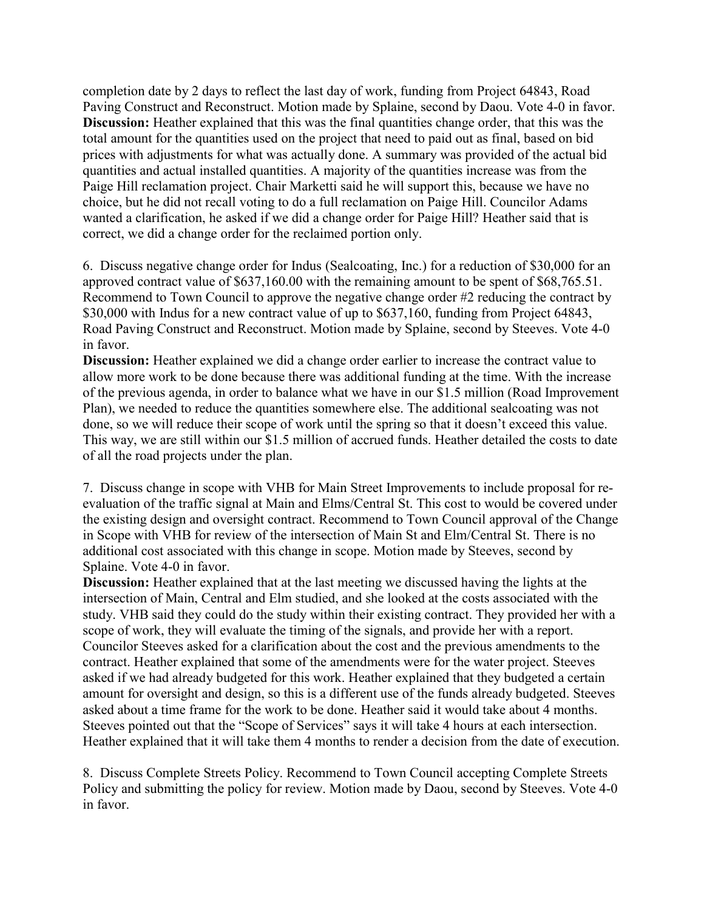completion date by 2 days to reflect the last day of work, funding from Project 64843, Road Paving Construct and Reconstruct. Motion made by Splaine, second by Daou. Vote 4-0 in favor. **Discussion:** Heather explained that this was the final quantities change order, that this was the total amount for the quantities used on the project that need to paid out as final, based on bid prices with adjustments for what was actually done. A summary was provided of the actual bid quantities and actual installed quantities. A majority of the quantities increase was from the Paige Hill reclamation project. Chair Marketti said he will support this, because we have no choice, but he did not recall voting to do a full reclamation on Paige Hill. Councilor Adams wanted a clarification, he asked if we did a change order for Paige Hill? Heather said that is correct, we did a change order for the reclaimed portion only.

6. Discuss negative change order for Indus (Sealcoating, Inc.) for a reduction of \$30,000 for an approved contract value of \$637,160.00 with the remaining amount to be spent of \$68,765.51. Recommend to Town Council to approve the negative change order #2 reducing the contract by \$30,000 with Indus for a new contract value of up to \$637,160, funding from Project 64843, Road Paving Construct and Reconstruct. Motion made by Splaine, second by Steeves. Vote 4-0 in favor.

**Discussion:** Heather explained we did a change order earlier to increase the contract value to allow more work to be done because there was additional funding at the time. With the increase of the previous agenda, in order to balance what we have in our \$1.5 million (Road Improvement Plan), we needed to reduce the quantities somewhere else. The additional sealcoating was not done, so we will reduce their scope of work until the spring so that it doesn't exceed this value. This way, we are still within our \$1.5 million of accrued funds. Heather detailed the costs to date of all the road projects under the plan.

7. Discuss change in scope with VHB for Main Street Improvements to include proposal for reevaluation of the traffic signal at Main and Elms/Central St. This cost to would be covered under the existing design and oversight contract. Recommend to Town Council approval of the Change in Scope with VHB for review of the intersection of Main St and Elm/Central St. There is no additional cost associated with this change in scope. Motion made by Steeves, second by Splaine. Vote 4-0 in favor.

**Discussion:** Heather explained that at the last meeting we discussed having the lights at the intersection of Main, Central and Elm studied, and she looked at the costs associated with the study. VHB said they could do the study within their existing contract. They provided her with a scope of work, they will evaluate the timing of the signals, and provide her with a report. Councilor Steeves asked for a clarification about the cost and the previous amendments to the contract. Heather explained that some of the amendments were for the water project. Steeves asked if we had already budgeted for this work. Heather explained that they budgeted a certain amount for oversight and design, so this is a different use of the funds already budgeted. Steeves asked about a time frame for the work to be done. Heather said it would take about 4 months. Steeves pointed out that the "Scope of Services" says it will take 4 hours at each intersection. Heather explained that it will take them 4 months to render a decision from the date of execution.

8. Discuss Complete Streets Policy. Recommend to Town Council accepting Complete Streets Policy and submitting the policy for review. Motion made by Daou, second by Steeves. Vote 4-0 in favor.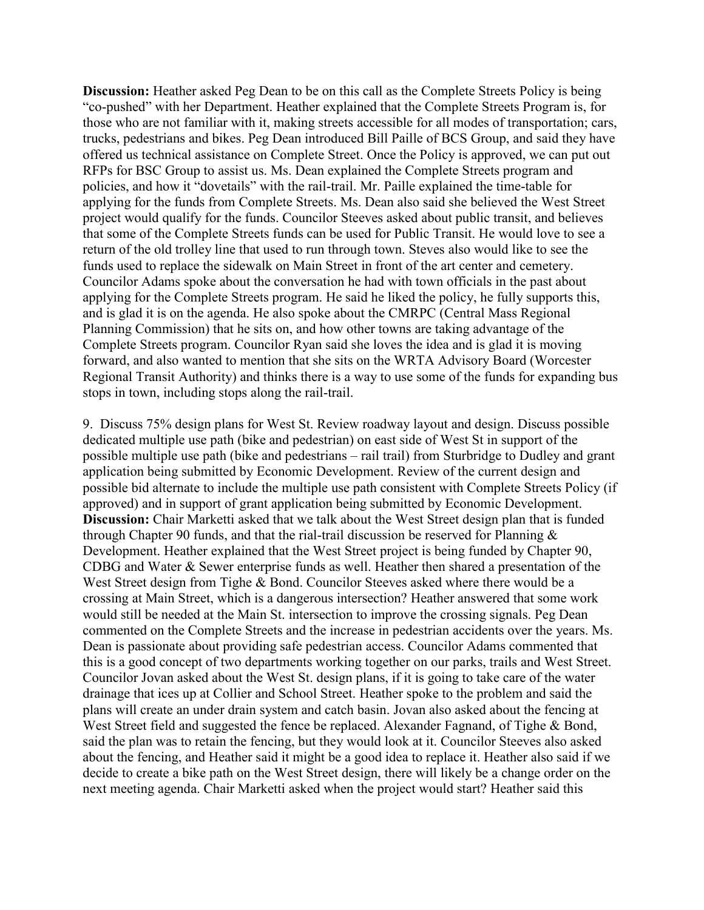**Discussion:** Heather asked Peg Dean to be on this call as the Complete Streets Policy is being "co-pushed" with her Department. Heather explained that the Complete Streets Program is, for those who are not familiar with it, making streets accessible for all modes of transportation; cars, trucks, pedestrians and bikes. Peg Dean introduced Bill Paille of BCS Group, and said they have offered us technical assistance on Complete Street. Once the Policy is approved, we can put out RFPs for BSC Group to assist us. Ms. Dean explained the Complete Streets program and policies, and how it "dovetails" with the rail-trail. Mr. Paille explained the time-table for applying for the funds from Complete Streets. Ms. Dean also said she believed the West Street project would qualify for the funds. Councilor Steeves asked about public transit, and believes that some of the Complete Streets funds can be used for Public Transit. He would love to see a return of the old trolley line that used to run through town. Steves also would like to see the funds used to replace the sidewalk on Main Street in front of the art center and cemetery. Councilor Adams spoke about the conversation he had with town officials in the past about applying for the Complete Streets program. He said he liked the policy, he fully supports this, and is glad it is on the agenda. He also spoke about the CMRPC (Central Mass Regional Planning Commission) that he sits on, and how other towns are taking advantage of the Complete Streets program. Councilor Ryan said she loves the idea and is glad it is moving forward, and also wanted to mention that she sits on the WRTA Advisory Board (Worcester Regional Transit Authority) and thinks there is a way to use some of the funds for expanding bus stops in town, including stops along the rail-trail.

9. Discuss 75% design plans for West St. Review roadway layout and design. Discuss possible dedicated multiple use path (bike and pedestrian) on east side of West St in support of the possible multiple use path (bike and pedestrians – rail trail) from Sturbridge to Dudley and grant application being submitted by Economic Development. Review of the current design and possible bid alternate to include the multiple use path consistent with Complete Streets Policy (if approved) and in support of grant application being submitted by Economic Development. **Discussion:** Chair Marketti asked that we talk about the West Street design plan that is funded through Chapter 90 funds, and that the rial-trail discussion be reserved for Planning  $\&$ Development. Heather explained that the West Street project is being funded by Chapter 90, CDBG and Water & Sewer enterprise funds as well. Heather then shared a presentation of the West Street design from Tighe & Bond. Councilor Steeves asked where there would be a crossing at Main Street, which is a dangerous intersection? Heather answered that some work would still be needed at the Main St. intersection to improve the crossing signals. Peg Dean commented on the Complete Streets and the increase in pedestrian accidents over the years. Ms. Dean is passionate about providing safe pedestrian access. Councilor Adams commented that this is a good concept of two departments working together on our parks, trails and West Street. Councilor Jovan asked about the West St. design plans, if it is going to take care of the water drainage that ices up at Collier and School Street. Heather spoke to the problem and said the plans will create an under drain system and catch basin. Jovan also asked about the fencing at West Street field and suggested the fence be replaced. Alexander Fagnand, of Tighe & Bond, said the plan was to retain the fencing, but they would look at it. Councilor Steeves also asked about the fencing, and Heather said it might be a good idea to replace it. Heather also said if we decide to create a bike path on the West Street design, there will likely be a change order on the next meeting agenda. Chair Marketti asked when the project would start? Heather said this